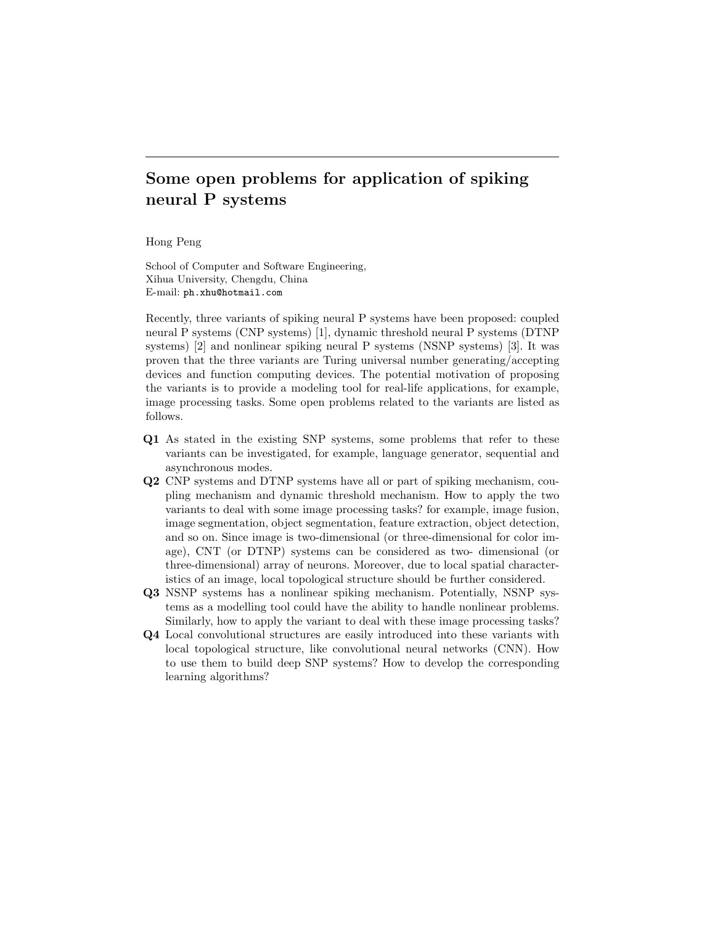## Some open problems for application of spiking neural P systems

Hong Peng

School of Computer and Software Engineering, Xihua University, Chengdu, China E-mail: ph.xhu@hotmail.com

Recently, three variants of spiking neural P systems have been proposed: coupled neural P systems (CNP systems) [1], dynamic threshold neural P systems (DTNP systems) [2] and nonlinear spiking neural P systems (NSNP systems) [3]. It was proven that the three variants are Turing universal number generating/accepting devices and function computing devices. The potential motivation of proposing the variants is to provide a modeling tool for real-life applications, for example, image processing tasks. Some open problems related to the variants are listed as follows.

- Q1 As stated in the existing SNP systems, some problems that refer to these variants can be investigated, for example, language generator, sequential and asynchronous modes.
- Q2 CNP systems and DTNP systems have all or part of spiking mechanism, coupling mechanism and dynamic threshold mechanism. How to apply the two variants to deal with some image processing tasks? for example, image fusion, image segmentation, object segmentation, feature extraction, object detection, and so on. Since image is two-dimensional (or three-dimensional for color image), CNT (or DTNP) systems can be considered as two- dimensional (or three-dimensional) array of neurons. Moreover, due to local spatial characteristics of an image, local topological structure should be further considered.
- Q3 NSNP systems has a nonlinear spiking mechanism. Potentially, NSNP systems as a modelling tool could have the ability to handle nonlinear problems. Similarly, how to apply the variant to deal with these image processing tasks?
- Q4 Local convolutional structures are easily introduced into these variants with local topological structure, like convolutional neural networks (CNN). How to use them to build deep SNP systems? How to develop the corresponding learning algorithms?